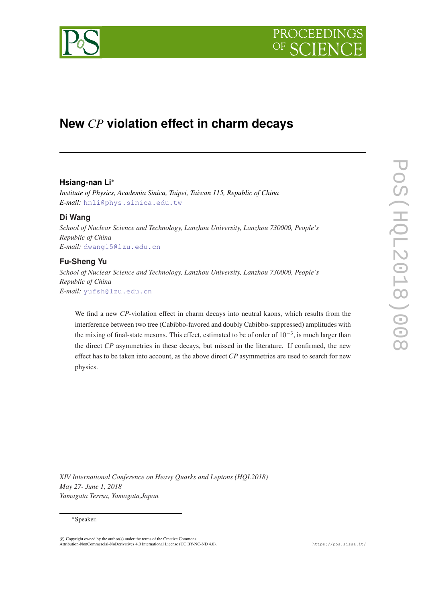



# **New** *CP* **violation effect in charm decays**

## **Hsiang-nan Li**<sup>∗</sup>

*Institute of Physics, Academia Sinica, Taipei, Taiwan 115, Republic of China E-mail:* [hnli@phys.sinica.edu.tw](mailto:hnli@phys.sinica.edu.tw)

## **Di Wang**

*School of Nuclear Science and Technology, Lanzhou University, Lanzhou 730000, People's Republic of China E-mail:* [dwang15@lzu.edu.cn](mailto:dwang15@lzu.edu.cn)

# **Fu-Sheng Yu**

*School of Nuclear Science and Technology, Lanzhou University, Lanzhou 730000, People's Republic of China E-mail:* [yufsh@lzu.edu.cn](mailto:yufsh@lzu.edu.cn)

We find a new *CP*-violation effect in charm decays into neutral kaons, which results from the interference between two tree (Cabibbo-favored and doubly Cabibbo-suppressed) amplitudes with the mixing of final-state mesons. This effect, estimated to be of order of  $10^{-3}$ , is much larger than the direct *CP* asymmetries in these decays, but missed in the literature. If confirmed, the new effect has to be taken into account, as the above direct *CP* asymmetries are used to search for new physics.

*XIV International Conference on Heavy Quarks and Leptons (HQL2018) May 27- June 1, 2018 Yamagata Terrsa, Yamagata,Japan*

#### <sup>∗</sup>Speaker.

 $\overline{c}$  Copyright owned by the author(s) under the terms of the Creative Common Attribution-NonCommercial-NoDerivatives 4.0 International License (CC BY-NC-ND 4.0). https://pos.sissa.it/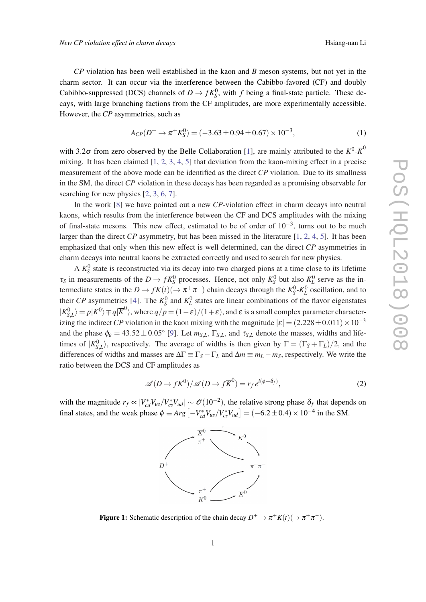<span id="page-1-0"></span>*CP* violation has been well established in the kaon and *B* meson systems, but not yet in the charm sector. It can occur via the interference between the Cabibbo-favored (CF) and doubly Cabibbo-suppressed (DCS) channels of  $D \to fK_S^0$ , with *f* being a final-state particle. These decays, with large branching factions from the CF amplitudes, are more experimentally accessible. However, the *CP* asymmetries, such as

$$
A_{CP}(D^{+} \to \pi^{+} K_{S}^{0}) = (-3.63 \pm 0.94 \pm 0.67) \times 10^{-3}, \tag{1}
$$

with 3.2 $\sigma$  from zero observed by the Belle Collaboration [[1](#page-3-0)], are mainly attributed to the  $K^0$ - $\overline{K}^0$ mixing. It has been claimed [[1](#page-3-0), [2,](#page-3-0) [3,](#page-3-0) [4](#page-3-0), [5\]](#page-3-0) that deviation from the kaon-mixing effect in a precise measurement of the above mode can be identified as the direct *CP* violation. Due to its smallness in the SM, the direct *CP* violation in these decays has been regarded as a promising observable for searching for new physics [[2](#page-3-0), [3](#page-3-0), [6](#page-3-0), [7](#page-3-0)].

In the work [\[8\]](#page-3-0) we have pointed out a new *CP*-violation effect in charm decays into neutral kaons, which results from the interference between the CF and DCS amplitudes with the mixing of final-state mesons. This new effect, estimated to be of order of  $10^{-3}$ , turns out to be much larger than the direct *CP* asymmetry, but has been missed in the literature [[1](#page-3-0), [2,](#page-3-0) [4,](#page-3-0) [5](#page-3-0)]. It has been emphasized that only when this new effect is well determined, can the direct *CP* asymmetries in charm decays into neutral kaons be extracted correctly and used to search for new physics.

A  $K_S^0$  state is reconstructed via its decay into two charged pions at a time close to its lifetime  $\tau_S$  in measurements of the  $D \to fK_S^0$  processes. Hence, not only  $K_S^0$  but also  $K_L^0$  serve as the intermediate states in the  $D \to fK(t)(\to \pi^+\pi^-)$  chain decays through the  $K_S^0$ - $K_L^0$  oscillation, and to their *CP* asymmetries [\[4\]](#page-3-0). The  $K_S^0$  and  $K_L^0$  states are linear combinations of the flavor eigenstates  $|K_{S,L}^0\rangle = p|K^0\rangle \mp q|\overline{K}^0\rangle$ , where  $q/p = (1-\varepsilon)/(1+\varepsilon)$ , and  $\varepsilon$  is a small complex parameter characterizing the indirect *CP* violation in the kaon mixing with the magnitude  $|\varepsilon| = (2.228 \pm 0.011) \times 10^{-3}$ and the phase  $\phi_{\varepsilon} = 43.52 \pm 0.05^{\circ}$  [[9\]](#page-3-0). Let  $m_{S,L}$ ,  $\Gamma_{S,L}$ , and  $\tau_{S,L}$  denote the masses, widths and lifetimes of  $|K_{S,L}^0\rangle$ , respectively. The average of widths is then given by  $\Gamma = (\Gamma_S + \Gamma_L)/2$ , and the differences of widths and masses are  $\Delta\Gamma \equiv \Gamma_S - \Gamma_L$  and  $\Delta m \equiv m_L - m_S$ , respectively. We write the ratio between the DCS and CF amplitudes as

$$
\mathscr{A}(D \to fK^0)/\mathscr{A}(D \to f\overline{K}^0) = r_f e^{i(\phi + \delta_f)},\tag{2}
$$

with the magnitude  $r_f \propto |V_{cd}^* V_{us}/V_{cs}^* V_{ud}| \sim \mathcal{O}(10^{-2})$ , the relative strong phase  $\delta_f$  that depends on final states, and the weak phase  $\phi = Arg\left[-V_{cd}^{*}V_{us}/V_{cs}^{*}V_{ud}\right] = (-6.2 \pm 0.4) \times 10^{-4}$  in the SM.



**Figure 1:** Schematic description of the chain decay  $D^+ \to \pi^+ K(t) (\to \pi^+ \pi^-)$ .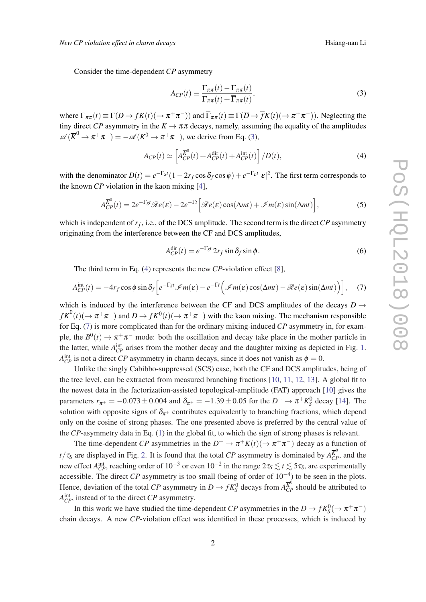Consider the time-dependent *CP* asymmetry

$$
A_{CP}(t) \equiv \frac{\Gamma_{\pi\pi}(t) - \overline{\Gamma}_{\pi\pi}(t)}{\Gamma_{\pi\pi}(t) + \overline{\Gamma}_{\pi\pi}(t)},
$$
\n(3)

where  $\Gamma_{\pi\pi}(t) \equiv \Gamma(D \to fK(t)(\to \pi^+\pi^-))$  and  $\overline{\Gamma}_{\pi\pi}(t) \equiv \Gamma(\overline{D} \to \overline{f}K(t)(\to \pi^+\pi^-))$ . Neglecting the tiny direct *CP* asymmetry in the  $K \to \pi \pi$  decays, namely, assuming the equality of the amplitudes  $\mathscr{A}(\overline{K}^0 \to \pi^+ \pi^-) = -\mathscr{A}(K^0 \to \pi^+ \pi^-)$ , we derive from Eq. (3),

$$
A_{CP}(t) \simeq \left[ A_{CP}^{\overline{K}^0}(t) + A_{CP}^{\text{dir}}(t) + A_{CP}^{\text{int}}(t) \right] / D(t), \tag{4}
$$

with the denominator  $D(t) = e^{-\Gamma_S t} (1 - 2r_f \cos \delta_f \cos \phi) + e^{-\Gamma_L t} |\varepsilon|^2$ . The first term corresponds to the known *CP* violation in the kaon mixing [[4](#page-3-0)],

$$
A_{CP}^{\overline{K}^0}(t) = 2e^{-\Gamma_S t} \mathcal{R}e(\varepsilon) - 2e^{-\Gamma t} \Big[ \mathcal{R}e(\varepsilon) \cos(\Delta mt) + \mathcal{I}m(\varepsilon) \sin(\Delta mt) \Big],\tag{5}
$$

which is independent of *r<sup>f</sup>* , i.e., of the DCS amplitude. The second term is the direct*CP* asymmetry originating from the interference between the CF and DCS amplitudes,

$$
A_{CP}^{\text{dir}}(t) = e^{-\Gamma_S t} 2r_f \sin \delta_f \sin \phi.
$$
 (6)

The third term in Eq. (4) represents the new *CP*-violation effect [[8](#page-3-0)],

$$
A_{CP}^{\text{int}}(t) = -4r_f \cos \phi \sin \delta_f \Big[ e^{-\Gamma_S t} \mathcal{I}m(\varepsilon) - e^{-\Gamma t} \Big( \mathcal{I}m(\varepsilon) \cos(\Delta mt) - \mathcal{R}e(\varepsilon) \sin(\Delta mt) \Big) \Big], \quad (7)
$$

which is induced by the interference between the CF and DCS amplitudes of the decays  $D \rightarrow$  $f\overline{K}^0(t)(\to \pi^+\pi^-)$  and  $D \to fK^0(t)(\to \pi^+\pi^-)$  with the kaon mixing. The mechanism responsible for Eq. (7) is more complicated than for the ordinary mixing-induced *CP* asymmetry in, for example, the  $B^0(t) \to \pi^+\pi^-$  mode: both the oscillation and decay take place in the mother particle in the latter, while  $A_{CP}^{\text{int}}$  arises from the mother decay and the daughter mixing as depicted in Fig. [1](#page-1-0).  $A_{CP}^{\text{int}}$  is not a direct *CP* asymmetry in charm decays, since it does not vanish as  $\phi = 0$ .

Unlike the singly Cabibbo-suppressed (SCS) case, both the CF and DCS amplitudes, being of the tree level, can be extracted from measured branching fractions [[10](#page-3-0), [11,](#page-3-0) [12,](#page-3-0) [13](#page-4-0)]. A global fit to the newest data in the factorization-assisted topological-amplitude (FAT) approach [[10\]](#page-3-0) gives the parameters  $r_{\pi^+} = -0.073 \pm 0.004$  and  $\delta_{\pi^+} = -1.39 \pm 0.05$  for the  $D^+ \to \pi^+ K^0_S$  decay [[14\]](#page-4-0). The solution with opposite signs of  $\delta_{\pi^+}$  contributes equivalently to branching fractions, which depend only on the cosine of strong phases. The one presented above is preferred by the central value of the *CP*-asymmetry data in Eq. [\(1\)](#page-1-0) in the global fit, to which the sign of strong phases is relevant.

The time-dependent *CP* asymmetries in the  $D^+ \to \pi^+ K(t) (\to \pi^+ \pi^-)$  decay as a function of *t*/ $\tau_S$  are displayed in Fig. [2.](#page-3-0) It is found that the total *CP* asymmetry is dominated by  $A_{CP}^{\overline{K}^0}$ , and the new effect  $A_{CP}^{int}$ , reaching order of  $10^{-3}$  or even  $10^{-2}$  in the range  $2\tau_s \lesssim t \lesssim 5\tau_s$ , are experimentally accessible. The direct *CP* asymmetry is too small (being of order of 10−<sup>4</sup> ) to be seen in the plots. Hence, deviation of the total *CP* asymmetry in  $D \to fK_S^0$  decays from  $A_{CP}^{\overline{K}^0}$  should be attributed to *A*<sup>int</sup><sub>*CP*</sub>, instead of to the direct *CP* asymmetry.

In this work we have studied the time-dependent *CP* asymmetries in the  $D \to fK_S^0(\to \pi^+\pi^-)$ chain decays. A new *CP*-violation effect was identified in these processes, which is induced by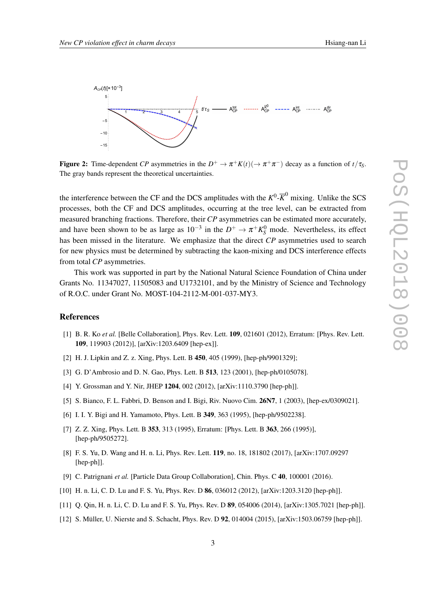<span id="page-3-0"></span>

Figure 2: Time-dependent *CP* asymmetries in the  $D^+ \to \pi^+ K(t) (\to \pi^+ \pi^-)$  decay as a function of  $t/\tau_s$ . The gray bands represent the theoretical uncertainties.

the interference between the CF and the DCS amplitudes with the  $K^0$ - $\overline{K}^0$  mixing. Unlike the SCS processes, both the CF and DCS amplitudes, occurring at the tree level, can be extracted from measured branching fractions. Therefore, their *CP* asymmetries can be estimated more accurately, and have been shown to be as large as  $10^{-3}$  in the  $D^+ \to \pi^+ K^0_S$  mode. Nevertheless, its effect has been missed in the literature. We emphasize that the direct *CP* asymmetries used to search for new physics must be determined by subtracting the kaon-mixing and DCS interference effects from total *CP* asymmetries.

This work was supported in part by the National Natural Science Foundation of China under Grants No. 11347027, 11505083 and U1732101, and by the Ministry of Science and Technology of R.O.C. under Grant No. MOST-104-2112-M-001-037-MY3.

### **References**

- [1] B. R. Ko *et al.* [Belle Collaboration], Phys. Rev. Lett. 109, 021601 (2012), Erratum: [Phys. Rev. Lett. 109, 119903 (2012)], [arXiv:1203.6409 [hep-ex]].
- [2] H. J. Lipkin and Z. z. Xing, Phys. Lett. B 450, 405 (1999), [hep-ph/9901329];
- [3] G. D'Ambrosio and D. N. Gao, Phys. Lett. B **513**, 123 (2001), [hep-ph/0105078].
- [4] Y. Grossman and Y. Nir, JHEP 1204, 002 (2012), [arXiv:1110.3790 [hep-ph]].
- [5] S. Bianco, F. L. Fabbri, D. Benson and I. Bigi, Riv. Nuovo Cim. 26N7, 1 (2003), [hep-ex/0309021].
- [6] I. I. Y. Bigi and H. Yamamoto, Phys. Lett. B 349, 363 (1995), [hep-ph/9502238].
- [7] Z. Z. Xing, Phys. Lett. B 353, 313 (1995), Erratum: [Phys. Lett. B 363, 266 (1995)], [hep-ph/9505272].
- [8] F. S. Yu, D. Wang and H. n. Li, Phys. Rev. Lett. 119, no. 18, 181802 (2017), [arXiv:1707.09297 [hep-ph]].
- [9] C. Patrignani *et al.* [Particle Data Group Collaboration], Chin. Phys. C 40, 100001 (2016).
- [10] H. n. Li, C. D. Lu and F. S. Yu, Phys. Rev. D 86, 036012 (2012), [arXiv:1203.3120 [hep-ph]].
- [11] Q. Qin, H. n. Li, C. D. Lu and F. S. Yu, Phys. Rev. D 89, 054006 (2014), [arXiv:1305.7021 [hep-ph]].
- [12] S. Müller, U. Nierste and S. Schacht, Phys. Rev. D 92, 014004 (2015), [arXiv:1503.06759 [hep-ph]].